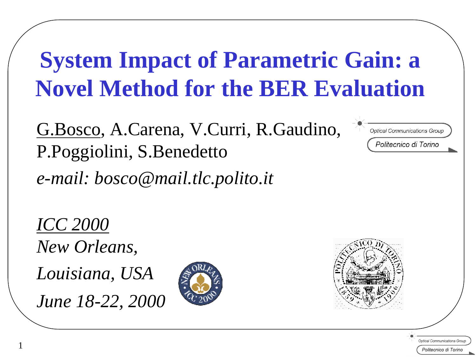# **System Impact of Parametric Gain: a Novel Method for the BER Evaluation**

G.Bosco, A.Carena, V.Curri, R.Gaudino, P.Poggiolini, S.Benedetto *e-mail: bosco@mail.tlc.polito.it*

Optical Communications Grou.

Politecnico di Torino

*ICC 2000 New Orleans, Louisiana, USA* 

*June 18-22, 2000*

1



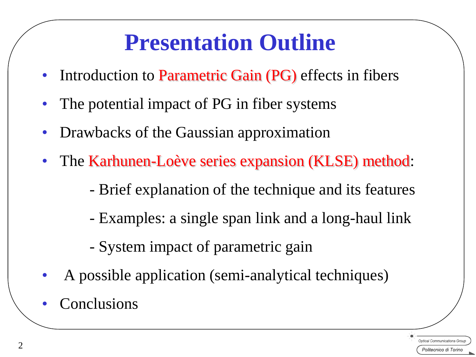#### **Presentation Outline**

- Introduction to Parametric Gain (PG) effects in fibers
- The potential impact of PG in fiber systems
- Drawbacks of the Gaussian approximation
- The Karhunen-Loève series expansion (KLSE) method:
	- Brief explanation of the technique and its features
	- Examples: a single span link and a long-haul link
	- System impact of parametric gain
- A possible application (semi-analytical techniques)
- **Conclusions**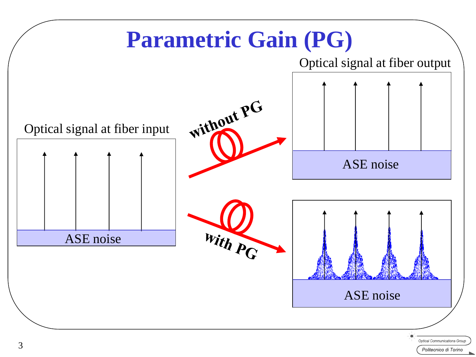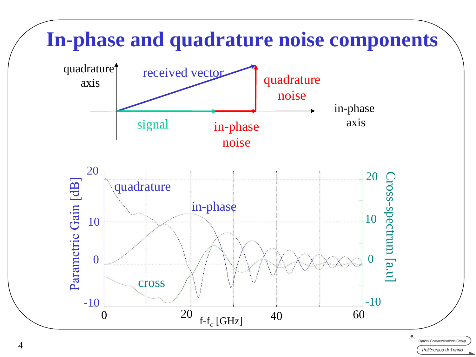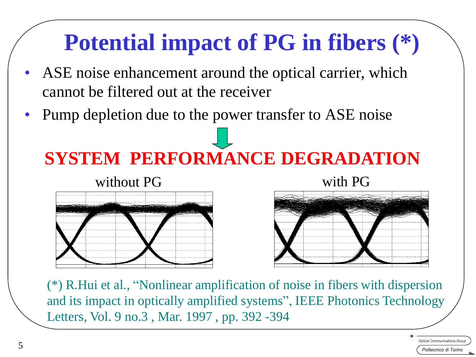#### **Potential impact of PG in fibers (\*)**

- ASE noise enhancement around the optical carrier, which cannot be filtered out at the receiver
- Pump depletion due to the power transfer to ASE noise

## **SYSTEM PERFORMANCE DEGRADATION**





(\*) R.Hui et al., "Nonlinear amplification of noise in fibers with dispersion and its impact in optically amplified systems", IEEE Photonics Technology Letters, Vol. 9 no.3 , Mar. 1997 , pp. 392 -394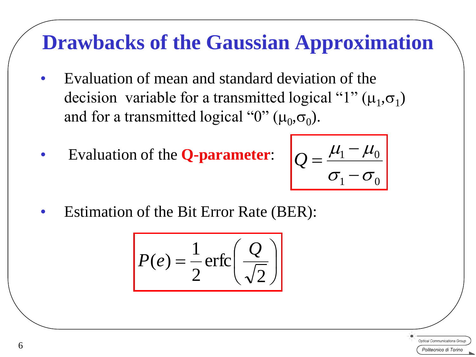#### **Drawbacks of the Gaussian Approximation**

- Evaluation of mean and standard deviation of the decision variable for a transmitted logical " $1$ " ( $\mu_1$ , $\sigma_1$ ) and for a transmitted logical "0" ( $\mu_0$ , $\sigma_0$ ).
- Evaluation of the **Q-parameter**:

$$
Q = \frac{\mu_1 - \mu_0}{\sigma_1 - \sigma_0}
$$

• Estimation of the Bit Error Rate (BER):

$$
P(e) = \frac{1}{2} \operatorname{erfc}\left(\frac{Q}{\sqrt{2}}\right)
$$

**Intical Communications Gro**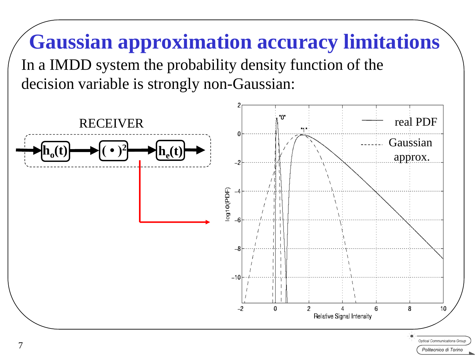# **Gaussian approximation accuracy limitations**

In a IMDD system the probability density function of the decision variable is strongly non-Gaussian:

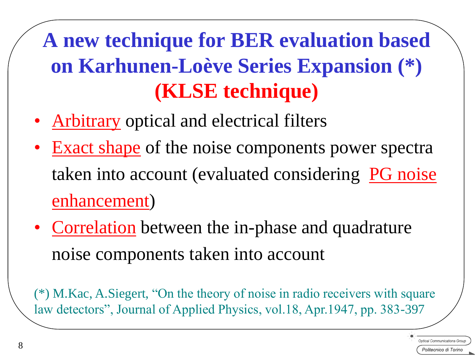#### **A new technique for BER evaluation based on Karhunen-Loève Series Expansion (\*) (KLSE technique)**

- Arbitrary optical and electrical filters
- Exact shape of the noise components power spectra taken into account (evaluated considering PG noise enhancement)
- Correlation between the in-phase and quadrature noise components taken into account

(\*) M.Kac, A.Siegert, "On the theory of noise in radio receivers with square law detectors", Journal of Applied Physics, vol.18, Apr.1947, pp. 383-397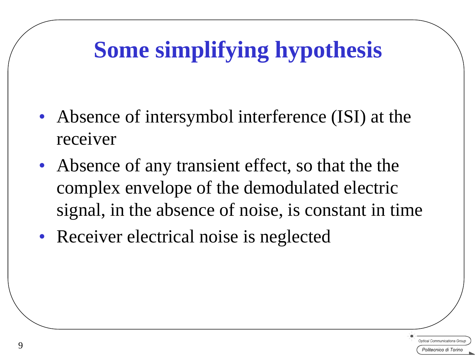## **Some simplifying hypothesis**

- Absence of intersymbol interference (ISI) at the receiver
- Absence of any transient effect, so that the the complex envelope of the demodulated electric signal, in the absence of noise, is constant in time
- Receiver electrical noise is neglected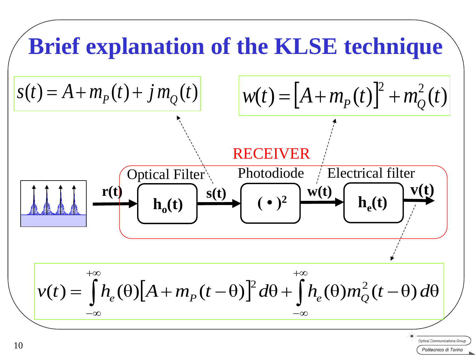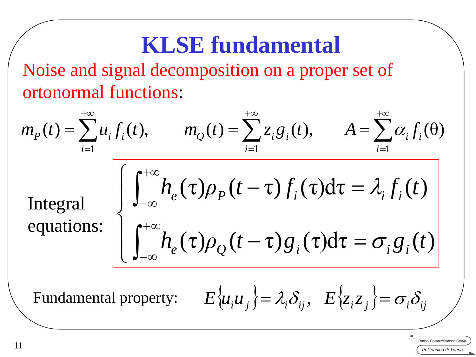### **KLSE fundamental**

Noise and signal decomposition on a proper set of ortonormal functions:

$$
m_p(t) = \sum_{i=1}^{+\infty} u_i f_i(t), \qquad m_Q(t) = \sum_{i=1}^{+\infty} z_i g_i(t), \qquad A = \sum_{i=1}^{+\infty} \alpha_i f_i(\theta)
$$
  
Integral  
equations:  

$$
\left[ \int_{-\infty}^{+\infty} h_e(\tau) \rho_p(t-\tau) f_i(\tau) d\tau = \lambda_i f_i(t) \right]
$$
  
Fundamental property:  $E\{u_i u_j\} = \lambda_i \delta_{ij}, E\{z_i z_j\} = \sigma_i \delta_{ij}$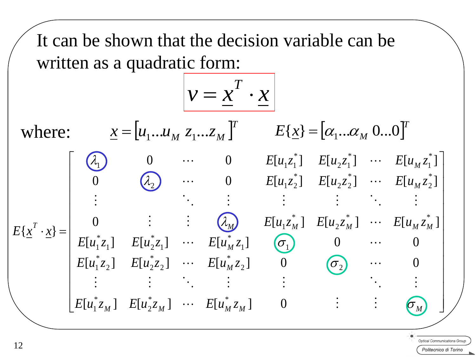It can be shown that the decision variable can be written as a quadratic form:

$$
v = \underline{x}^T \cdot \underline{x}
$$

where:  $\underline{x} = [u_1...u_M \ z_1...z_M]^{T}$   $E[\underline{x}] = [\alpha_1...\alpha_M \ 0...0]^{T}$  $\underline{x} = [u_1...u_M \ z_1...z_M]$  $\overline{\phantom{a}}$  $\overline{\phantom{a}}$  $\overline{\phantom{a}}$  $\overline{\phantom{a}}$  $\overline{\phantom{a}}$  $\overline{\phantom{a}}$  $\overline{\phantom{a}}$  $\overline{\phantom{a}}$  $\overline{\phantom{a}}$  $\overline{\phantom{a}}$  $\overline{\phantom{a}}$  $\rfloor$  $\overline{\phantom{a}}$  $E[u_1^*z_M]$   $E[u_2^*z_M]$   $\cdots$   $E[u_M^*z_M]$   $\qquad$  0  $\qquad$   $\vdots$   $\qquad \qquad$   $\qquad$  $\overline{\phantom{a}}$  $\overline{\phantom{a}}$  $\overline{\phantom{a}}$  $\overline{\phantom{a}}$  $\overline{\phantom{a}}$  $\overline{\phantom{a}}$  $\overline{\phantom{a}}$  $\overline{\phantom{a}}$  $\overline{\phantom{a}}$  $\overline{\phantom{a}}$  $\mathbf{r}$  $\cdot x$ } = *M M*  $M_{M}$  *M*  $M_{M}$   $L[u_{1} \zeta_{M}]$   $L[u_{2} \zeta_{M}]$   $M$   $L[u_{M} \zeta_{M}]$ *M M*  $E[u_1^*z_2]$   $E[u_2^*z_2]$   $\cdots$   $E[u_M^*z]$  $E[u_1^*z_1]$   $E[u_2^*z_1]$   $\cdots$   $E[u_M^*z]$  $E[u_1z_M^*]$   $E[u_2z_M^*]$   $\cdots$   $E[u_Mz_M^*]$  $E[u_1z_2]$   $E[u_2z_2]$   $\cdots$   $E[u_Mz]$  $E[u_1z_1^*]$   $E[u_2z_1^*]$   $\cdots$   $E[u_Mz]$  $E\{\mathbf{x}^{\prime} \cdot \mathbf{x}$  $\sigma_{_M}^{-}$  $\sigma$  $\sigma$  $\lambda$  $\lambda_2$   $\lambda_3$   $\lambda_4$   $\lambda_5$   $\lambda_6$   $E[u_1z_2^*]$   $E[u_2z_2^*]$   $\cdots$  $\mathcal{A}_{1}$ i se na na katika na katika na katika na katika na katika na katika na katika na katika na katika na katika na  $\cdots$   $E[u_M^*z_2]$  0  $(\sigma_2)$   $\cdots$  $\cdots$   $E[u_M^*z_1]$   $(\sigma_1)$  0  $\cdots$  $\vdots$   $(\lambda_M)$   $E[u_1z_M^*]$   $E[u_2z_M^*]$  ...  $\cdots$  0  $E[u_1z_1]$   $E[u_2z_1]$   $\cdots$  $[u_1^*z_2]$   $E[u_2^*z_2]$   $\cdots$   $E[u_M^*z_2]$   $0$   $(\sigma_2)$   $\cdots$  0  $[u_1^*z_1]$   $E[u_2^*z_1]$   $\cdots$   $E[u_M^*z_1]$   $\sigma_1$   $\sigma_1$   $\cdots$   $\sigma_n$ 0 :  $(\lambda_M)$   $E[u_1 z_M^*]$   $E[u_2 z_M^*]$   $\cdots$   $E[u_M z_M^*]$ 0  $(\lambda_2)$   $\cdots$  0  $E[u_1z_2]$   $E[u_2z_2]$   $\cdots$   $E[u_Mz_2]$ 0  $\cdots$  0  $E[u_1z_1^*]$   $E[u_2z_1^*]$   $\cdots$   $E[u_Mz_1^*]$  $\{x^I \cdot x\}$ 2 \* 1 2 J  $\sqrt{2}$ \* 2 \* 2  $\mu_2$ \* 1  $11 \qquad \qquad 1$ \* 1 \*  $1^1$   $\mu_2$ \* 1  $*$   $\overline{C}$   $\overline{C}$   $\overline{C}$   $\overline{C}$   $\overline{C}$   $\overline{C}$   $\overline{C}$   $\overline{C}$   $\overline{C}$   $\overline{C}$   $\overline{C}$   $\overline{C}$   $\overline{C}$   $\overline{C}$   $\overline{C}$   $\overline{C}$   $\overline{C}$   $\overline{C}$   $\overline{C}$   $\overline{C}$   $\overline{C}$   $\overline{C}$   $\overline{C}$   $\overline{C}$  2 \* 1 \* 2 \*  $2^{\mathcal{L}}2$ \* 2)  $U_{1} \lambda_{2}$ \* 1 \*  $2 \lambda 1$ \*  $\mathcal{L}[u_1\mathcal{L}_1]$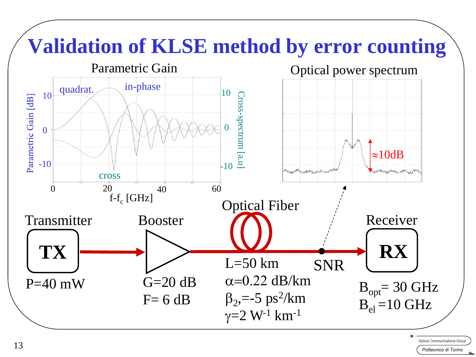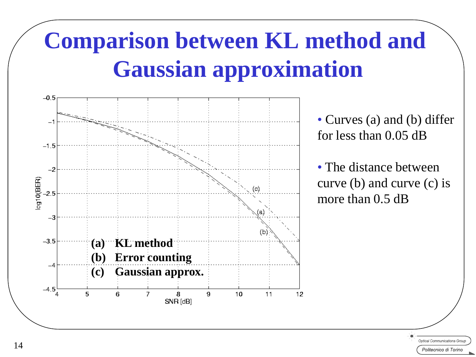# **Comparison between KL method and Gaussian approximation**



• Curves (a) and (b) differ for less than 0.05 dB

• The distance between curve (b) and curve (c) is more than 0.5 dB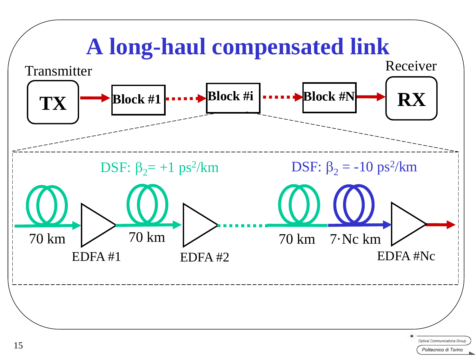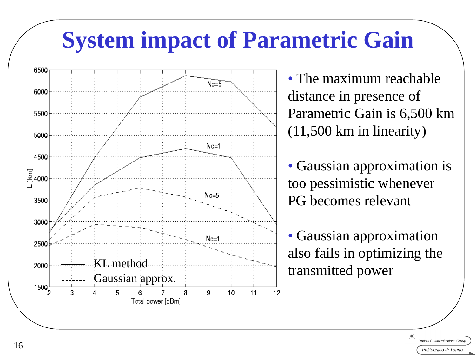#### **System impact of Parametric Gain**



• The maximum reachable distance in presence of Parametric Gain is 6,500 km (11,500 km in linearity)

• Gaussian approximation is too pessimistic whenever PG becomes relevant

• Gaussian approximation also fails in optimizing the transmitted power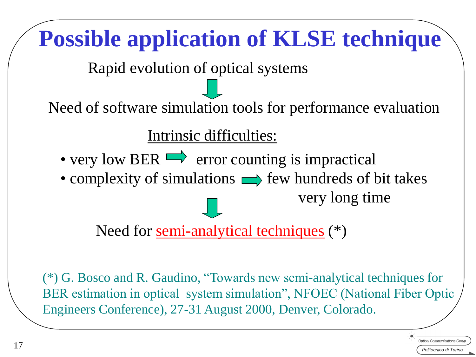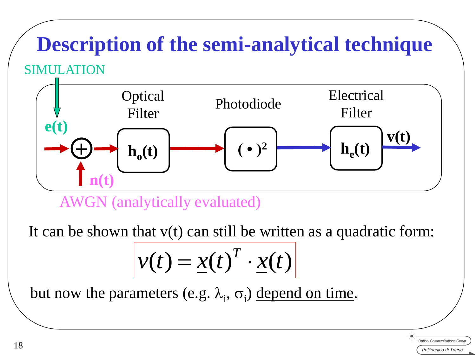#### **SIMULATION Description of the semi-analytical technique**

#### Optical Photodiode Electrical<br>Filter Photodiode Filter Filter  $h_o(t)$  $( \cdot )^2$  $h_e(t)$  $\mathbf{e}(t)$ **+ n(t)**

AWGN (analytically evaluated)

It can be shown that  $v(t)$  can still be written as a quadratic form:

$$
v(t) = \underline{x(t)}^T \cdot \underline{x(t)}
$$

but now the parameters (e.g.  $\lambda_i$ ,  $\sigma_i$ ) depend on time.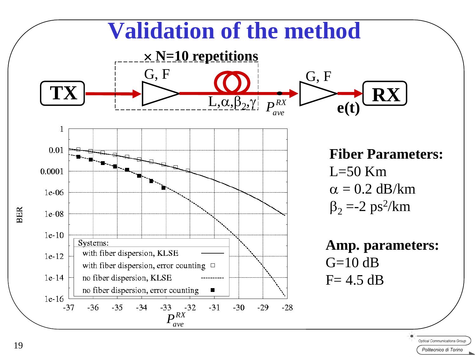

19

Politecnico di Torino